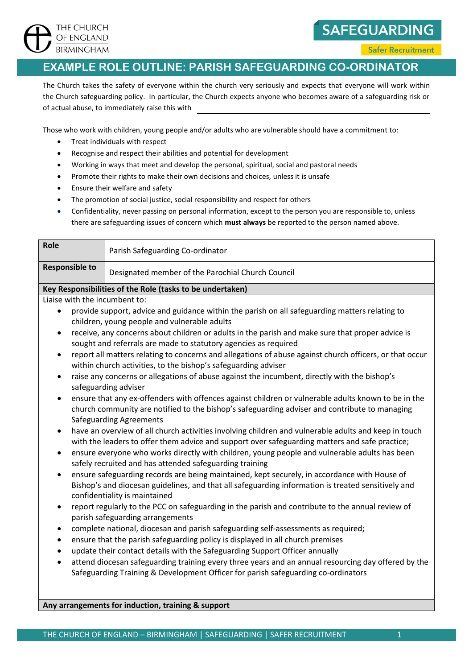

**SAFEGUARDING** 

**Safer Recruitment** 

## **EXAMPLE ROLE OUTLINE: PARISH SAFEGUARDING CO-ORDINATOR**

The Church takes the safety of everyone within the church very seriously and expects that everyone will work within the Church safeguarding policy. In particular, the Church expects anyone who becomes aware of a safeguarding risk or of actual abuse, to immediately raise this with

Those who work with children, young people and/or adults who are vulnerable should have a commitment to:

- Treat individuals with respect
- Recognise and respect their abilities and potential for development
- Working in ways that meet and develop the personal, spiritual, social and pastoral needs
- Promote their rights to make their own decisions and choices, unless it is unsafe
- Ensure their welfare and safety
- The promotion of social justice, social responsibility and respect for others
- Confidentiality, never passing on personal information, except to the person you are responsible to, unless there are safeguarding issues of concern which **must always** be reported to the person named above.

| Role                                                      | Parish Safeguarding Co-ordinator                  |
|-----------------------------------------------------------|---------------------------------------------------|
| <b>Responsible to</b>                                     | Designated member of the Parochial Church Council |
| Key Responsibilities of the Role (tasks to be undertaken) |                                                   |
| Liaise with the incumbent to:                             |                                                   |

- provide support, advice and guidance within the parish on all safeguarding matters relating to children, young people and vulnerable adults
- receive, any concerns about children or adults in the parish and make sure that proper advice is sought and referrals are made to statutory agencies as required
- report all matters relating to concerns and allegations of abuse against church officers, or that occur within church activities, to the bishop's safeguarding adviser
- raise any concerns or allegations of abuse against the incumbent, directly with the bishop's safeguarding adviser
- ensure that any ex-offenders with offences against children or vulnerable adults known to be in the church community are notified to the bishop's safeguarding adviser and contribute to managing Safeguarding Agreements
- have an overview of all church activities involving children and vulnerable adults and keep in touch with the leaders to offer them advice and support over safeguarding matters and safe practice;
- ensure everyone who works directly with children, young people and vulnerable adults has been safely recruited and has attended safeguarding training
- ensure safeguarding records are being maintained, kept securely, in accordance with House of Bishop's and diocesan guidelines, and that all safeguarding information is treated sensitively and confidentiality is maintained
- report regularly to the PCC on safeguarding in the parish and contribute to the annual review of parish safeguarding arrangements
- complete national, diocesan and parish safeguarding self-assessments as required;
- ensure that the parish safeguarding policy is displayed in all church premises
- update their contact details with the Safeguarding Support Officer annually
- attend diocesan safeguarding training every three years and an annual resourcing day offered by the Safeguarding Training & Development Officer for parish safeguarding co-ordinators

**Any arrangements for induction, training & support**